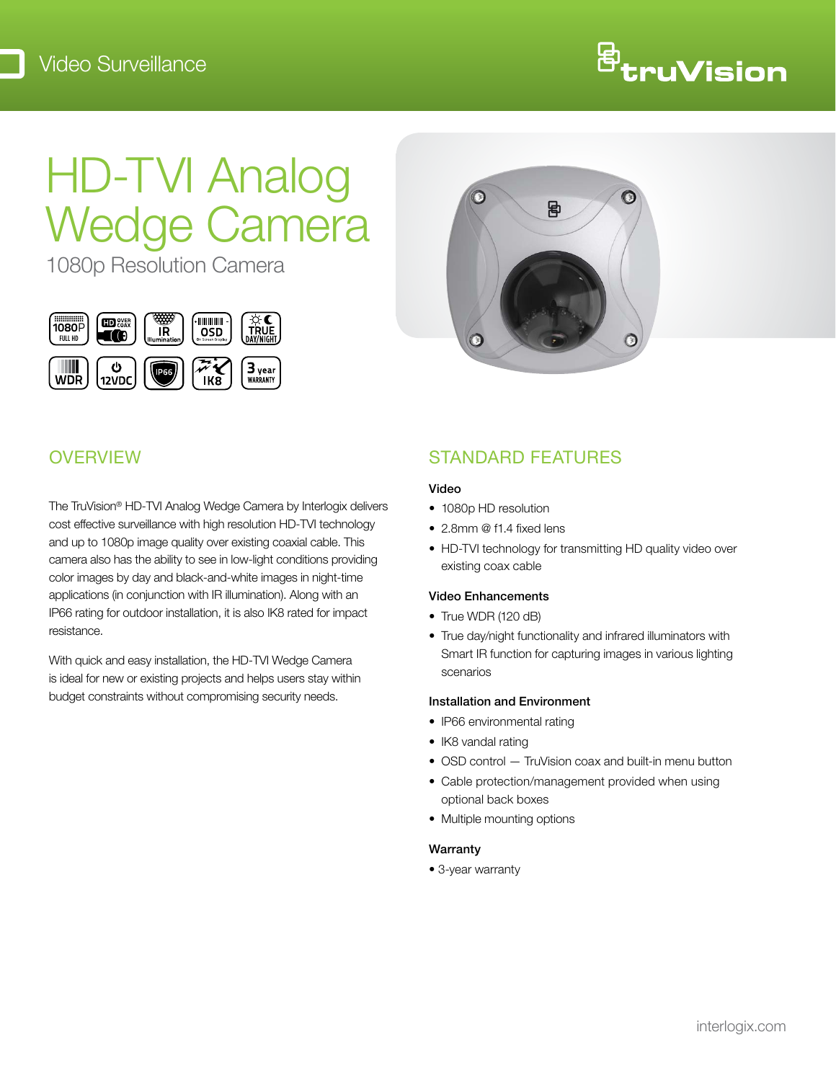

# HD-TVI Analog Wedge Camera

1080p Resolution Camera





## **OVERVIEW**

The TruVision® HD-TVI Analog Wedge Camera by Interlogix delivers cost effective surveillance with high resolution HD-TVI technology and up to 1080p image quality over existing coaxial cable. This camera also has the ability to see in low-light conditions providing color images by day and black-and-white images in night-time applications (in conjunction with IR illumination). Along with an IP66 rating for outdoor installation, it is also IK8 rated for impact resistance.

With quick and easy installation, the HD-TVI Wedge Camera is ideal for new or existing projects and helps users stay within budget constraints without compromising security needs.

## STANDARD FEATURES

### Video

- 1080p HD resolution
- 2.8mm @ f1.4 fixed lens
- HD-TVI technology for transmitting HD quality video over existing coax cable

### Video Enhancements

- True WDR (120 dB)
- True day/night functionality and infrared illuminators with Smart IR function for capturing images in various lighting scenarios

### Installation and Environment

- IP66 environmental rating
- IK8 vandal rating
- OSD control TruVision coax and built-in menu button
- Cable protection/management provided when using optional back boxes
- Multiple mounting options

### Warranty

• 3-year warranty